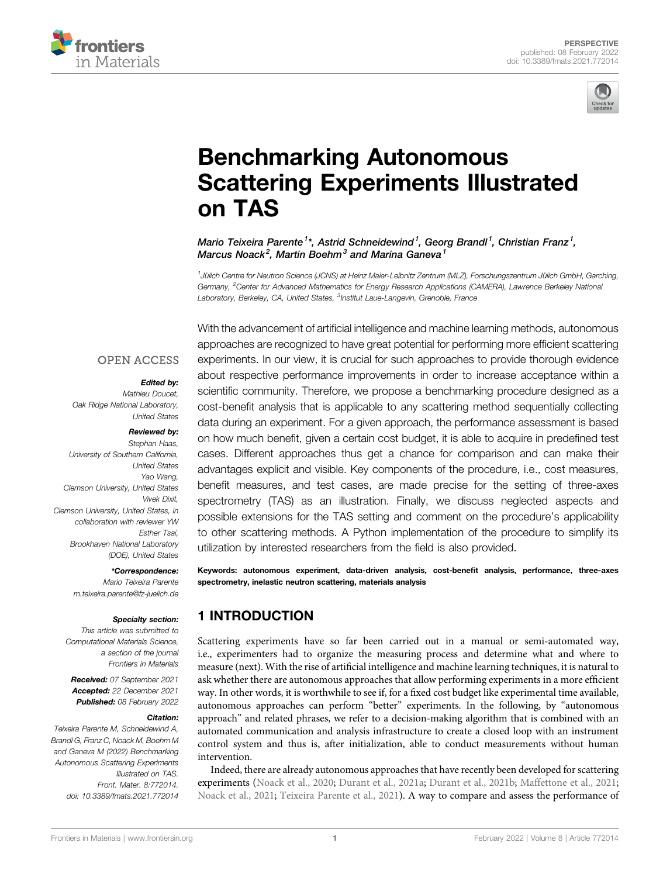



# [Benchmarking Autonomous](https://www.frontiersin.org/articles/10.3389/fmats.2021.772014/full) [Scattering Experiments Illustrated](https://www.frontiersin.org/articles/10.3389/fmats.2021.772014/full) [on TAS](https://www.frontiersin.org/articles/10.3389/fmats.2021.772014/full)

Mario Teixeira Parente<sup>1\*</sup>, Astrid Schneidewind<sup>1</sup>, Georg Brandl<sup>1</sup>, Christian Franz<sup>1</sup>, Marcus Noack $^2$ , Martin Boehm $^3$  and Marina Ganeva $^1$ 

1 Jülich Centre for Neutron Science (JCNS) at Heinz Maier-Leibnitz Zentrum (MLZ), Forschungszentrum Jülich GmbH, Garching, Germany, <sup>2</sup>Center for Advanced Mathematics for Energy Research Applications (CAMERA), Lawrence Berkeley National Laboratory, Berkeley, CA, United States, <sup>3</sup>Institut Laue-Langevin, Grenoble, France

## **OPEN ACCESS**

### Edited by:

Mathieu Doucet, Oak Ridge National Laboratory, United States

#### Reviewed by:

Stephan Haas, University of Southern California, United States Yao Wang, Clemson University, United States Vivek Dixit, Clemson University, United States, in collaboration with reviewer YW Esther Tsai, Brookhaven National Laboratory (DOE), United States

#### \*Correspondence:

Mario Teixeira Parente [m.teixeira.parente@fz-juelich.de](mailto:m.teixeira.parente@fz-juelich.de)

#### Specialty section:

This article was submitted to Computational Materials Science, a section of the journal Frontiers in Materials

Received: 07 September 2021 Accepted: 22 December 2021 Published: 08 February 2022

### Citation:

Teixeira Parente M, Schneidewind A, Brandl G, Franz C, Noack M, Boehm M and Ganeva M (2022) Benchmarking Autonomous Scattering Experiments Illustrated on TAS. Front. Mater. 8:772014. doi: [10.3389/fmats.2021.772014](https://doi.org/10.3389/fmats.2021.772014)

With the advancement of artificial intelligence and machine learning methods, autonomous approaches are recognized to have great potential for performing more efficient scattering experiments. In our view, it is crucial for such approaches to provide thorough evidence about respective performance improvements in order to increase acceptance within a scientific community. Therefore, we propose a benchmarking procedure designed as a cost-benefit analysis that is applicable to any scattering method sequentially collecting data during an experiment. For a given approach, the performance assessment is based on how much benefit, given a certain cost budget, it is able to acquire in predefined test cases. Different approaches thus get a chance for comparison and can make their advantages explicit and visible. Key components of the procedure, i.e., cost measures, benefit measures, and test cases, are made precise for the setting of three-axes spectrometry (TAS) as an illustration. Finally, we discuss neglected aspects and possible extensions for the TAS setting and comment on the procedure's applicability to other scattering methods. A Python implementation of the procedure to simplify its utilization by interested researchers from the field is also provided.

Keywords: autonomous experiment, data-driven analysis, cost-benefit analysis, performance, three-axes spectrometry, inelastic neutron scattering, materials analysis

# 1 INTRODUCTION

Scattering experiments have so far been carried out in a manual or semi-automated way, i.e., experimenters had to organize the measuring process and determine what and where to measure (next). With the rise of artificial intelligence and machine learning techniques, it is natural to ask whether there are autonomous approaches that allow performing experiments in a more efficient way. In other words, it is worthwhile to see if, for a fixed cost budget like experimental time available, autonomous approaches can perform "better" experiments. In the following, by "autonomous approach" and related phrases, we refer to a decision-making algorithm that is combined with an automated communication and analysis infrastructure to create a closed loop with an instrument control system and thus is, after initialization, able to conduct measurements without human intervention.

Indeed, there are already autonomous approaches that have recently been developed for scattering experiments ([Noack et al., 2020](#page-6-0); [Durant et al., 2021a;](#page-6-1) [Durant et al., 2021b;](#page-6-2) [Maffettone et al., 2021;](#page-6-3) [Noack et al., 2021;](#page-6-4) [Teixeira Parente et al., 2021\)](#page-6-5). A way to compare and assess the performance of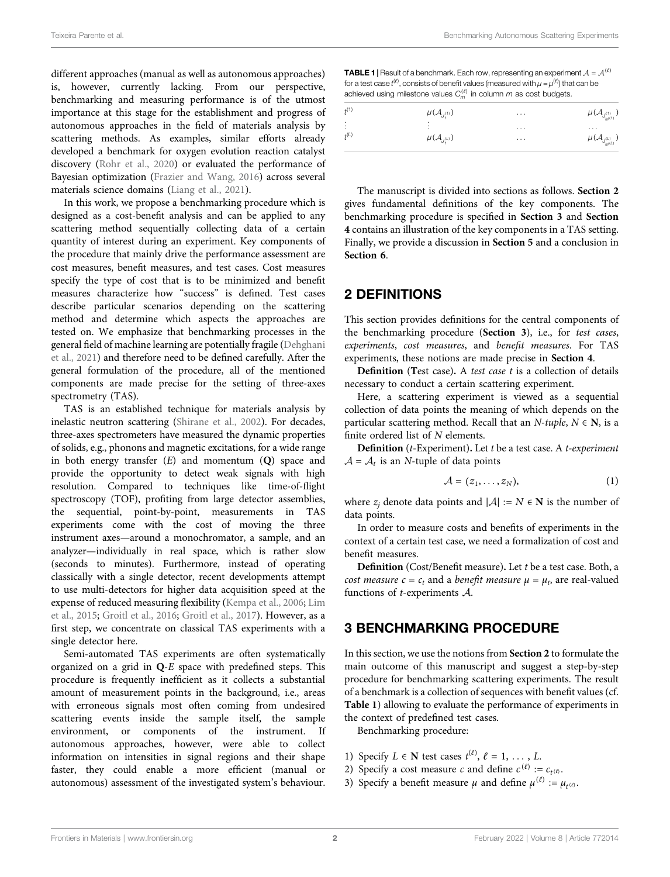different approaches (manual as well as autonomous approaches) is, however, currently lacking. From our perspective, benchmarking and measuring performance is of the utmost importance at this stage for the establishment and progress of autonomous approaches in the field of materials analysis by scattering methods. As examples, similar efforts already developed a benchmark for oxygen evolution reaction catalyst discovery [\(Rohr et al., 2020\)](#page-6-6) or evaluated the performance of Bayesian optimization ([Frazier and Wang, 2016](#page-6-7)) across several materials science domains ([Liang et al., 2021\)](#page-6-8).

In this work, we propose a benchmarking procedure which is designed as a cost-benefit analysis and can be applied to any scattering method sequentially collecting data of a certain quantity of interest during an experiment. Key components of the procedure that mainly drive the performance assessment are cost measures, benefit measures, and test cases. Cost measures specify the type of cost that is to be minimized and benefit measures characterize how "success" is defined. Test cases describe particular scenarios depending on the scattering method and determine which aspects the approaches are tested on. We emphasize that benchmarking processes in the general field of machine learning are potentially fragile [\(Dehghani](#page-6-9) [et al., 2021](#page-6-9)) and therefore need to be defined carefully. After the general formulation of the procedure, all of the mentioned components are made precise for the setting of three-axes spectrometry (TAS).

TAS is an established technique for materials analysis by inelastic neutron scattering ([Shirane et al., 2002](#page-6-10)). For decades, three-axes spectrometers have measured the dynamic properties of solids, e.g., phonons and magnetic excitations, for a wide range in both energy transfer  $(E)$  and momentum  $(Q)$  space and provide the opportunity to detect weak signals with high resolution. Compared to techniques like time-of-flight spectroscopy (TOF), profiting from large detector assemblies, the sequential, point-by-point, measurements in TAS experiments come with the cost of moving the three instrument axes—around a monochromator, a sample, and an analyzer—individually in real space, which is rather slow (seconds to minutes). Furthermore, instead of operating classically with a single detector, recent developments attempt to use multi-detectors for higher data acquisition speed at the expense of reduced measuring flexibility ([Kempa et al., 2006;](#page-6-11) [Lim](#page-6-12) [et al., 2015](#page-6-12); [Groitl et al., 2016](#page-6-13); [Groitl et al., 2017](#page-6-14)). However, as a first step, we concentrate on classical TAS experiments with a single detector here.

Semi-automated TAS experiments are often systematically organized on a grid in  $Q$ -E space with predefined steps. This procedure is frequently inefficient as it collects a substantial amount of measurement points in the background, i.e., areas with erroneous signals most often coming from undesired scattering events inside the sample itself, the sample environment, or components of the instrument. If autonomous approaches, however, were able to collect information on intensities in signal regions and their shape faster, they could enable a more efficient (manual or autonomous) assessment of the investigated system's behaviour.

<span id="page-1-2"></span>**TABLE 1** | Result of a benchmark. Each row, representing an experiment  $A = A^{(\ell)}$ for a test case  $t^{(\ell)}$ , consists of benefit values (measured with  $\mu = \mu^{(\ell)}$ ) that can be achieved using milestone values  $C_m^{(\ell)}$  in column m as cost budgets.

| $f^{(1)}$      | $\mu(\mathcal{A}_{J_{1}^{(1)}})$       | $\cdots$             | $\mu(\mathcal{A}_{J_{M^{(1)}}^{(1)}})$             |
|----------------|----------------------------------------|----------------------|----------------------------------------------------|
| ÷<br>$f^{(L)}$ | ٠<br>٠<br>$\mu(\mathcal{A}_{J^{(L)}})$ | $\cdots$<br>$\cdots$ | $\cdots$<br>$\mu(\mathcal{A}_{J_{M^{(L)}}^{(L)}})$ |

The manuscript is divided into sections as follows. [Section 2](#page-1-0) gives fundamental definitions of the key components. The benchmarking procedure is specified in [Section 3](#page-1-1) and [Section](#page-2-0) [4](#page-2-0) contains an illustration of the key components in a TAS setting. Finally, we provide a discussion in [Section 5](#page-4-0) and a conclusion in [Section 6](#page-5-0).

## <span id="page-1-0"></span>2 DEFINITIONS

This section provides definitions for the central components of the benchmarking procedure ([Section 3](#page-1-1)), i.e., for test cases, experiments, cost measures, and benefit measures. For TAS experiments, these notions are made precise in [Section 4](#page-2-0).

Definition (Test case). A test case t is a collection of details necessary to conduct a certain scattering experiment.

Here, a scattering experiment is viewed as a sequential collection of data points the meaning of which depends on the particular scattering method. Recall that an  $N$ -tuple,  $N \in \mathbb{N}$ , is a finite ordered list of N elements.

**Definition** ( $t$ -Experiment). Let  $t$  be a test case. A  $t$ -experiment  $A = A_t$  is an *N*-tuple of data points

$$
\mathcal{A} = (z_1, \ldots, z_N), \tag{1}
$$

where  $z_i$  denote data points and  $|A| := N \in \mathbb{N}$  is the number of data points.

In order to measure costs and benefits of experiments in the context of a certain test case, we need a formalization of cost and benefit measures.

Definition (Cost/Benefit measure). Let <sup>t</sup> be a test case. Both, a cost measure  $c = c_t$  and a benefit measure  $\mu = \mu_t$ , are real-valued functions of t-experiments A.

# <span id="page-1-1"></span>3 BENCHMARKING PROCEDURE

In this section, we use the notions from [Section 2](#page-1-0) to formulate the main outcome of this manuscript and suggest a step-by-step procedure for benchmarking scattering experiments. The result of a benchmark is a collection of sequences with benefit values (cf. [Table 1](#page-1-2)) allowing to evaluate the performance of experiments in the context of predefined test cases.

Benchmarking procedure:

- 1) Specify  $L \in \mathbb{N}$  test cases  $t^{(\ell)}$ ,  $\ell = 1, ..., L$ .<br>2) Specify a cost measure c and define  $c^{(\ell)}$ .
- 2) Specify a cost measure c and define  $c^{(\ell)} := c_{t^{(\ell)}}$ .
- 3) Specify a benefit measure  $\mu$  and define  $\mu^{(\ell)} := \mu_{t^{(\ell)}}$ .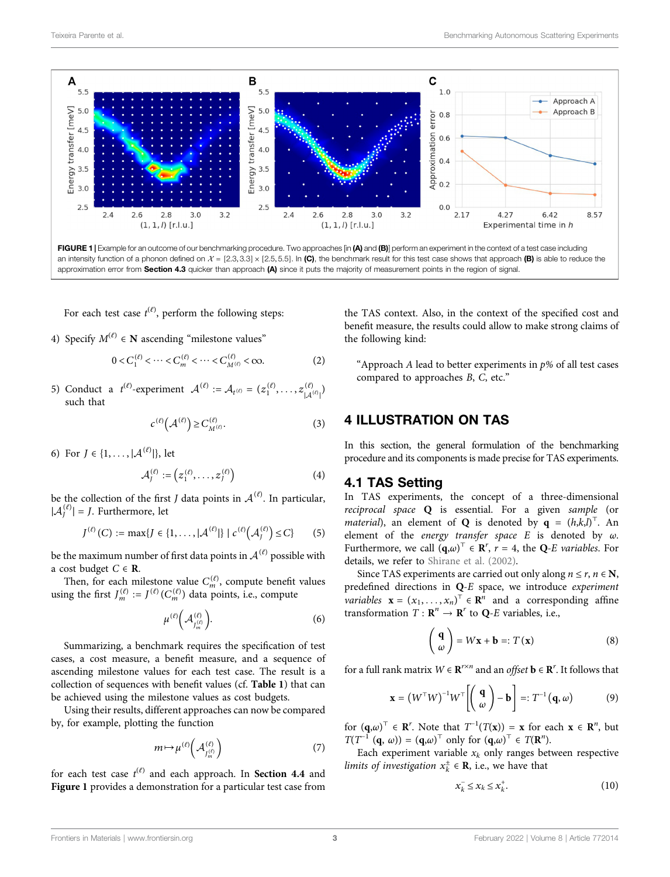

<span id="page-2-1"></span>For each test case  $t^{(\ell)}$ , perform the following steps:

4) Specify  $M^{(\ell)} \in \mathbb{N}$  ascending "milestone values"

$$
0 < C_1^{(\ell)} < \cdots < C_m^{(\ell)} < \cdots < C_{M^{(\ell)}}^{(\ell)} < \infty.
$$
 (2)

<span id="page-2-4"></span>5) Conduct a  $t^{(\ell)}$ -experiment  $\mathcal{A}^{(\ell)} := \mathcal{A}_{t^{(\ell)}} = (z_1^{(\ell)}, \dots, z_{|\mathcal{A}^{(\ell)}|}^{(\ell)})$ | such that

$$
c^{(\ell)}\left(\mathcal{A}^{(\ell)}\right) \ge C_{M^{(\ell)}}^{(\ell)}.\tag{3}
$$

6) For  $J \in \{1, ..., |\mathcal{A}^{(\ell)}|\}$ , let

$$
\mathcal{A}_J^{(\ell)} := \left( z_1^{(\ell)}, \ldots, z_J^{(\ell)} \right) \tag{4}
$$

be the collection of the first *J* data points in  $\mathcal{A}^{(\ell)}$ . In particular,  $|A_j^{(\ell)}| = J$ . Furthermore, let

$$
J^{(\ell)}(C) := \max\{J \in \{1, ..., |\mathcal{A}^{(\ell)}|\} \mid c^{(\ell)}(\mathcal{A}_J^{(\ell)}) \leq C\}
$$
 (5)

be the maximum number of first data points in  $A^{(\ell)}$  possible with a cost budget  $C \in \mathbf{R}$ .

Then, for each milestone value  $C_m^{(\ell)}$ , compute benefit values using the first  $J_m^{(\ell)} := J^{(\ell)}(C_m^{(\ell)})$  data points, i.e., compute

$$
\mu^{(\ell)}\left(\mathcal{A}_{J_m^{(\ell)}}^{(\ell)}\right). \tag{6}
$$

Summarizing, a benchmark requires the specification of test cases, a cost measure, a benefit measure, and a sequence of ascending milestone values for each test case. The result is a collection of sequences with benefit values (cf. [Table 1](#page-1-2)) that can be achieved using the milestone values as cost budgets.

Using their results, different approaches can now be compared by, for example, plotting the function

$$
m \mapsto \mu^{(\ell)}\left(\mathcal{A}_{J_m^{(\ell)}}^{(\ell)}\right) \tag{7}
$$

for each test case  $t^{(\ell)}$  and each approach. In **[Section 4.4](#page-4-1)** and<br>**Eigure 1** provides a demonstration for a particular test case from [Figure 1](#page-2-1) provides a demonstration for a particular test case from

the TAS context. Also, in the context of the specified cost and benefit measure, the results could allow to make strong claims of the following kind:

"Approach A lead to better experiments in  $p$ % of all test cases compared to approaches B, C, etc."

## <span id="page-2-0"></span>4 ILLUSTRATION ON TAS

In this section, the general formulation of the benchmarking procedure and its components is made precise for TAS experiments.

## <span id="page-2-3"></span>4.1 TAS Setting

In TAS experiments, the concept of a three-dimensional reciprocal space Q is essential. For a given sample (or *material*), an element of **Q** is denoted by  $\mathbf{q} = (h,k,l)^T$ . An element of the *energy transfer* space *F* is denoted by  $\omega$ element of the energy transfer space  $E$  is denoted by  $\omega$ . Furthermore, we call  $(\mathbf{q}, \omega)^{\top} \in \mathbf{R}^{r}$ ,  $r = 4$ , the Q-E variables. For details we refer to Shirane et al. (2002) details, we refer to [Shirane et al. \(2002\)](#page-6-10).

<span id="page-2-2"></span>Since TAS experiments are carried out only along  $n \le r$ ,  $n \in \mathbb{N}$ , predefined directions in Q-<sup>E</sup> space, we introduce experiment *variables*  $\mathbf{x} = (x_1, \dots, x_n)^\top \in \mathbb{R}^n$  and a corresponding affine<br>transformation  $T : \mathbb{R}^n \to \mathbb{R}^r$  to  $\Omega$ -*F* variables i.e. transformation  $T : \mathbb{R}^n \to \mathbb{R}^r$  to Q-E variables, i.e.,

$$
\left(\begin{array}{c}\mathbf{q}\\ \omega\end{array}\right) = W\mathbf{x} + \mathbf{b} =: T(\mathbf{x})
$$
\n(8)

for a full rank matrix  $W \in \mathbb{R}^{r \times n}$  and an *offset*  $\mathbf{b} \in \mathbb{R}^r$ . It follows that

$$
\mathbf{x} = \left( W^{\top} W \right)^{-1} W^{\top} \left[ \left( \begin{array}{c} \mathbf{q} \\ \omega \end{array} \right) - \mathbf{b} \right] =: T^{-1} \left( \mathbf{q}, \omega \right) \tag{9}
$$

for  $(\mathbf{q}, \omega)^{\top} \in \mathbb{R}^r$ . Note that  $T^{-1}(T(\mathbf{x})) = \mathbf{x}$  for each  $\mathbf{x} \in \mathbb{R}^n$ , but  $T(T^{-1}(\mathbf{q}, \omega)) = (\mathbf{q}, \omega)^{\top}$  only for  $(\mathbf{q}, \omega)^{\top} \in T(\mathbb{R}^n)$  $T(T^{-1}(\mathbf{q}, \omega)) = (\mathbf{q}, \omega)^{\top}$  only for  $(\mathbf{q}, \omega)^{\top} \in T(\mathbf{R}^n)$ .<br>Each experiment variable y, only ranges bet

Each experiment variable  $x_k$  only ranges between respective *limits of investigation*  $x_k^{\pm} \in \mathbf{R}$ , i.e., we have that

$$
x_k^- \le x_k \le x_k^+.\tag{10}
$$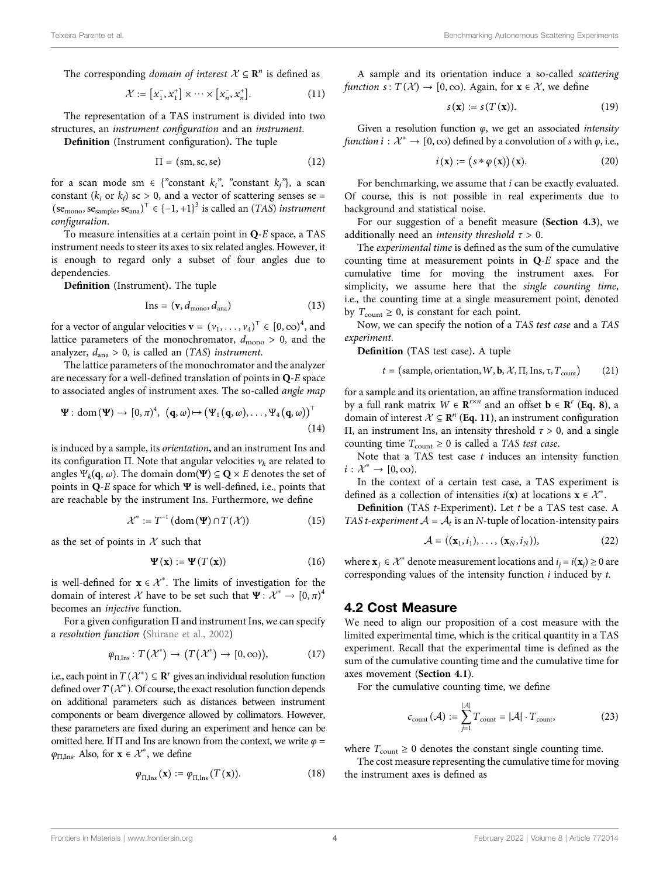<span id="page-3-0"></span>The corresponding *domain of interest*  $X \subseteq \mathbb{R}^n$  is defined as

$$
\mathcal{X} := [x_1^-, x_1^+] \times \cdots \times [x_n^-, x_n^+]. \tag{11}
$$

The representation of a TAS instrument is divided into two structures, an instrument configuration and an instrument.

Definition (Instrument configuration). The tuple

$$
\Pi = (\text{sm}, \text{sc}, \text{se}) \tag{12}
$$

for a scan mode sm  $\in$  {"constant  $k_i$ ", "constant  $k_f$ "}, a scan constant ( $k_i$  or  $k_f$ ) sc > 0, and a vector of scattering senses se =  $(\text{se}_{\text{mono}}, \text{se}_{\text{sample}}, \text{se}_{\text{ana}})^\top \in \{-1, +1\}^3$  is called an  $(TAS)$  instrument configuration.

To measure intensities at a certain point in  $Q$ - $E$  space, a TAS instrument needs to steer its axes to six related angles. However, it is enough to regard only a subset of four angles due to dependencies.

<span id="page-3-2"></span>**Definition** (Instrument). The tuple<br> $\ln s = (\mathbf{v} \, d_{\text{max}} \, d)$ 

$$
Ins = (\mathbf{v}, d_{\text{mono}}, d_{\text{ana}}) \tag{13}
$$

for a vector of angular velocities  $\mathbf{v} = (v_1, \dots, v_4)^\top \in [0, \infty)^4$ , and the lattice parameters of the monochromator  $d > 0$  and the lattice parameters of the monochromator,  $d_{\text{mono}} > 0$ , and the analyzer,  $d_{\text{ana}} > 0$ , is called an (TAS) instrument.

<span id="page-3-1"></span>The lattice parameters of the monochromator and the analyzer are necessary for a well-defined translation of points in Q-<sup>E</sup> space to associated angles of instrument axes. The so-called *angle map* 

$$
\Psi: dom(\Psi) \to [0, \pi)^4, (q, \omega) \mapsto (\Psi_1(q, \omega), \dots, \Psi_4(q, \omega))^T
$$
\n(14)

is induced by a sample, its orientation, and an instrument Ins and its configuration Π. Note that angular velocities  $v_k$  are related to angles  $\Psi_k(\mathbf{q}, \omega)$ . The domain dom( $\Psi$ )  $\subseteq \mathbf{Q} \times E$  denotes the set of points in  $Q$ -E space for which  $\Psi$  is well-defined, i.e., points that are reachable by the instrument Ins. Furthermore, we define

$$
\mathcal{X}^* := T^{-1} \left( \text{dom} \left( \Psi \right) \cap T \left( \mathcal{X} \right) \right) \tag{15}
$$

as the set of points in  $X$  such that

$$
\Psi(\mathbf{x}) := \Psi(T(\mathbf{x})) \tag{16}
$$

is well-defined for  $\mathbf{x} \in \mathcal{X}^*$ . The limits of investigation for the domain of interest  $\mathcal{X}$  have to be set such that  $\Psi \colon \mathcal{X}^* \to [0, \pi)^4$ domain of interest  $\mathcal X$  have to be set such that  $\Psi: \mathcal X^* \to [0, \pi)^4$ becomes an injective function.

For a given configuration  $\Pi$  and instrument Ins, we can specify a resolution function [\(Shirane et al., 2002\)](#page-6-10)

$$
\varphi_{\Pi,\text{Ins}}: T(\mathcal{X}^*) \to (T(\mathcal{X}^*) \to [0,\infty)),\tag{17}
$$

i.e., each point in  $T(\mathcal{X}^*) \subseteq \mathbb{R}^r$  gives an individual resolution function defined over  $T(\mathcal{X}^*)$ . Of course, the exact resolution function depends on additional parameters such as distances between instrument components or beam divergence allowed by collimators. However, these parameters are fixed during an experiment and hence can be omitted here. If  $\Pi$  and Ins are known from the context, we write  $\varphi$  =  $\varphi_{\Pi,\text{Ins}}$ . Also, for  $\mathbf{x} \in \mathcal{X}^*$ , we define

$$
\varphi_{\Pi,\text{Ins}}(\mathbf{x}) := \varphi_{\Pi,\text{Ins}}(T(\mathbf{x})). \tag{18}
$$

A sample and its orientation induce a so-called scattering function s:  $T(\mathcal{X}) \rightarrow [0, \infty)$ . Again, for  $\mathbf{x} \in \mathcal{X}$ , we define

$$
s(\mathbf{x}) := s(T(\mathbf{x})).
$$
 (19)

Given a resolution function  $\varphi$ , we get an associated *intensity* function  $i : \mathcal{X}^* \to [0,\infty)$  defined by a convolution of s with  $\varphi$ , i.e.,

$$
i(\mathbf{x}) := (s * \varphi(\mathbf{x}))(\mathbf{x}). \tag{20}
$$

For benchmarking, we assume that *i* can be exactly evaluated. Of course, this is not possible in real experiments due to background and statistical noise.

For our suggestion of a benefit measure ([Section 4.3](#page-4-2)), we additionally need an *intensity threshold*  $\tau > 0$ .

The experimental time is defined as the sum of the cumulative counting time at measurement points in Q-<sup>E</sup> space and the cumulative time for moving the instrument axes. For simplicity, we assume here that the single counting time, i.e., the counting time at a single measurement point, denoted by  $T_{\text{count}} \geq 0$ , is constant for each point.

Now, we can specify the notion of a TAS test case and a TAS experiment.

<span id="page-3-3"></span>Definition (TAS test case). A tuple

 $t = (sample, orientation, W, \mathbf{b}, \mathcal{X}, \Pi, \text{Ins}, \tau, T_{count})$  (21)

for a sample and its orientation, an affine transformation induced by a full rank matrix  $W \in \mathbb{R}^{r \times n}$  and an offset  $\mathbf{b} \in \mathbb{R}^{r}$  ([Eq. 8](#page-2-2)), a domain of interest  $X \subseteq \mathbb{R}^n$  ([Eq. 11](#page-3-0)), an instrument configuration Π, an instrument Ins, an intensity threshold  $τ > 0$ , and a single counting time  $T_{\text{count}} \geq 0$  is called a TAS test case.

Note that a TAS test case  $t$  induces an intensity function  $i: \mathcal{X}^* \to [0,\infty).$ 

In the context of a certain test case, a TAS experiment is defined as a collection of intensities  $i(x)$  at locations  $x \in \mathcal{X}^*$ .<br> **Definition** (TAS t-Experiment) Let t be a TAS test case

Definition (TAS <sup>t</sup>-Experiment). Let <sup>t</sup> be a TAS test case. A TAS *t-experiment*  $A = A_t$  is an *N*-tuple of location-intensity pairs

$$
\mathcal{A} = ((\mathbf{x}_1, i_1), \ldots, (\mathbf{x}_N, i_N)), \tag{22}
$$

where  $\mathbf{x}_i \in \mathcal{X}^*$  denote measurement locations and  $i_j = i(\mathbf{x}_j) \geq 0$  are corresponding values of the intensity function  $i$  induced by  $t$ .

### <span id="page-3-4"></span>4.2 Cost Measure

We need to align our proposition of a cost measure with the limited experimental time, which is the critical quantity in a TAS experiment. Recall that the experimental time is defined as the sum of the cumulative counting time and the cumulative time for axes movement ([Section 4.1](#page-2-3)).

For the cumulative counting time, we define

$$
c_{\text{count}}(\mathcal{A}) := \sum_{j=1}^{|\mathcal{A}|} T_{\text{count}} = |\mathcal{A}| \cdot T_{\text{count}},
$$
 (23)

where  $T_{\text{count}} \geq 0$  denotes the constant single counting time.

The cost measure representing the cumulative time for moving the instrument axes is defined as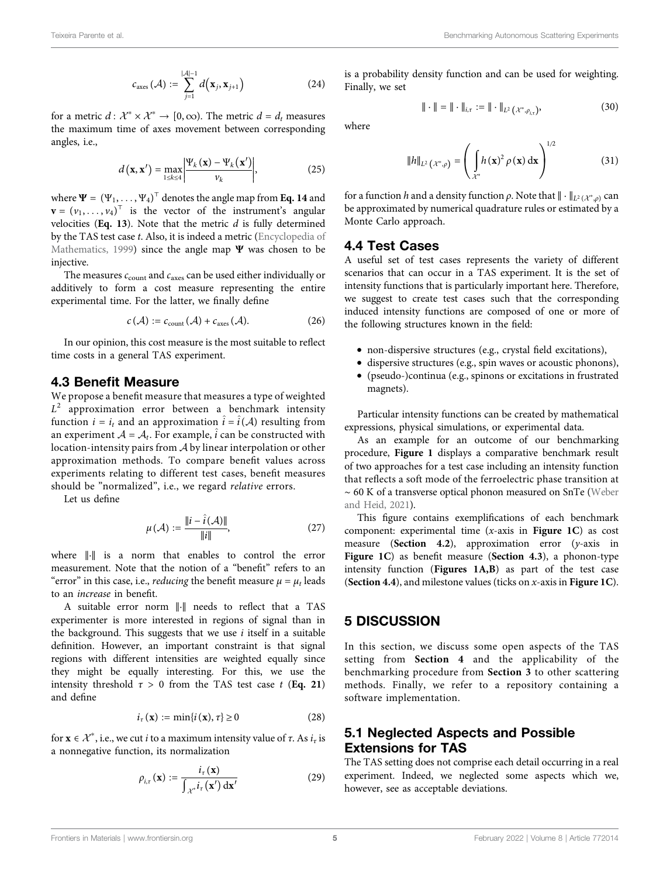$$
c_{\rm axes}(\mathcal{A}) := \sum_{j=1}^{|\mathcal{A}|-1} d(\mathbf{x}_j, \mathbf{x}_{j+1})
$$
 (24)

for a metric  $d: \mathcal{X}^* \times \mathcal{X}^* \to [0, \infty)$ . The metric  $d = d_t$  measures the maximum time of axes movement between corresponding angles, i.e.,

$$
d\left(\mathbf{x}, \mathbf{x}'\right) = \max_{1 \leq k \leq 4} \left| \frac{\Psi_k\left(\mathbf{x}\right) - \Psi_k\left(\mathbf{x}'\right)}{\nu_k} \right|,\tag{25}
$$

where  $\Psi = (\Psi_1, \dots, \Psi_4)^T$  denotes the angle map from [Eq. 14](#page-3-1) and<br> $\mathbf{v} = (v_1, \dots, v_t)^T$  is the vector of the instrument's angular  $\mathbf{v} = (v_1, \dots, v_4)^\top$  is the vector of the instrument's angular<br>velocities (**Eq. 13**). Note that the metric d is fully determined velocities ([Eq. 13](#page-3-2)). Note that the metric  $d$  is fully determined by the TAS test case t. Also, it is indeed a metric [\(Encyclopedia of](#page-6-15) [Mathematics, 1999](#page-6-15)) since the angle map  $\Psi$  was chosen to be injective.

The measures  $c_{\text{count}}$  and  $c_{\text{axes}}$  can be used either individually or additively to form a cost measure representing the entire experimental time. For the latter, we finally define

$$
c(\mathcal{A}) := c_{\text{count}}(\mathcal{A}) + c_{\text{axes}}(\mathcal{A}). \tag{26}
$$

In our opinion, this cost measure is the most suitable to reflect time costs in a general TAS experiment.

## <span id="page-4-2"></span>4.3 Benefit Measure

We propose a benefit measure that measures a type of weighted  $L^2$  approximation error between a benchmark intensity function  $i = i_t$  and an approximation  $\hat{i} = \hat{i}(A)$  resulting from an experiment  $A = A_t$ . For example,  $\hat{i}$  can be constructed with location-intensity pairs from A by linear interpolation or other approximation methods. To compare benefit values across experiments relating to different test cases, benefit measures should be "normalized", i.e., we regard relative errors.

Let us define

$$
\mu(\mathcal{A}) := \frac{\|i - \hat{i}(\mathcal{A})\|}{\|i\|},\tag{27}
$$

where  $\| \cdot \|$  is a norm that enables to control the error measurement. Note that the notion of a "benefit" refers to an "error" in this case, i.e., *reducing* the benefit measure  $\mu = \mu_t$  leads to an increase in benefit.

A suitable error norm  $\| \cdot \|$  needs to reflect that a TAS experimenter is more interested in regions of signal than in the background. This suggests that we use  $i$  itself in a suitable definition. However, an important constraint is that signal regions with different intensities are weighted equally since they might be equally interesting. For this, we use the intensity threshold  $\tau > 0$  from the TAS test case t ([Eq. 21](#page-3-3)) and define

$$
i_{\tau}(\mathbf{x}) := \min\{i(\mathbf{x}), \tau\} \ge 0 \tag{28}
$$

for  $\mathbf{x} \in \mathcal{X}^*$ , i.e., we cut *i* to a maximum intensity value of  $\tau$ . As  $i_\tau$  is a nonnegative function, its normalization

$$
\rho_{i,\tau}(\mathbf{x}) := \frac{i_{\tau}(\mathbf{x})}{\int_{\mathcal{X}^*} i_{\tau}(\mathbf{x}') \, \mathrm{d}\mathbf{x}'} \tag{29}
$$

is a probability density function and can be used for weighting. Finally, we set

$$
\|\cdot\| = \|\cdot\|_{i,\tau} := \|\cdot\|_{L^2(\mathcal{X}^*,\rho_{i,\tau})},\tag{30}
$$

where

$$
||h||_{L^{2}}(x^{*}, \rho) = \left(\int_{\mathcal{X}^{*}} h(\mathbf{x})^{2} \rho(\mathbf{x}) d\mathbf{x}\right)^{1/2}
$$
(31)

for a function h and a density function  $\rho$ . Note that  $\|\cdot\|_{L^2(\mathcal{X}^*,\rho)}$  can be approximated by numerical quadrature rules or estimated by a Monte Carlo approach.

## <span id="page-4-1"></span>4.4 Test Cases

A useful set of test cases represents the variety of different scenarios that can occur in a TAS experiment. It is the set of intensity functions that is particularly important here. Therefore, we suggest to create test cases such that the corresponding induced intensity functions are composed of one or more of the following structures known in the field:

- non-dispersive structures (e.g., crystal field excitations),
- dispersive structures (e.g., spin waves or acoustic phonons),
- (pseudo-)continua (e.g., spinons or excitations in frustrated magnets).

Particular intensity functions can be created by mathematical expressions, physical simulations, or experimental data.

As an example for an outcome of our benchmarking procedure, [Figure 1](#page-2-1) displays a comparative benchmark result of two approaches for a test case including an intensity function that reflects a soft mode of the ferroelectric phase transition at ∼ 60 K of a transverse optical phonon measured on SnTe [\(Weber](#page-6-16) [and Heid, 2021](#page-6-16)).

This figure contains exemplifications of each benchmark component: experimental time  $(x-axis)$  in [Figure 1C](#page-2-1)) as cost measure ([Section 4.2](#page-3-4)), approximation error (y-axis in [Figure 1C](#page-2-1)) as benefit measure ([Section 4.3](#page-4-2)), a phonon-type intensity function ([Figures 1A,B](#page-2-1)) as part of the test case ([Section 4.4](#page-4-1)), and milestone values (ticks on  $x$ -axis in [Figure 1C](#page-2-1)).

## <span id="page-4-0"></span>5 DISCUSSION

In this section, we discuss some open aspects of the TAS setting from [Section 4](#page-2-0) and the applicability of the benchmarking procedure from [Section 3](#page-1-1) to other scattering methods. Finally, we refer to a repository containing a software implementation.

# 5.1 Neglected Aspects and Possible Extensions for TAS

The TAS setting does not comprise each detail occurring in a real experiment. Indeed, we neglected some aspects which we, however, see as acceptable deviations.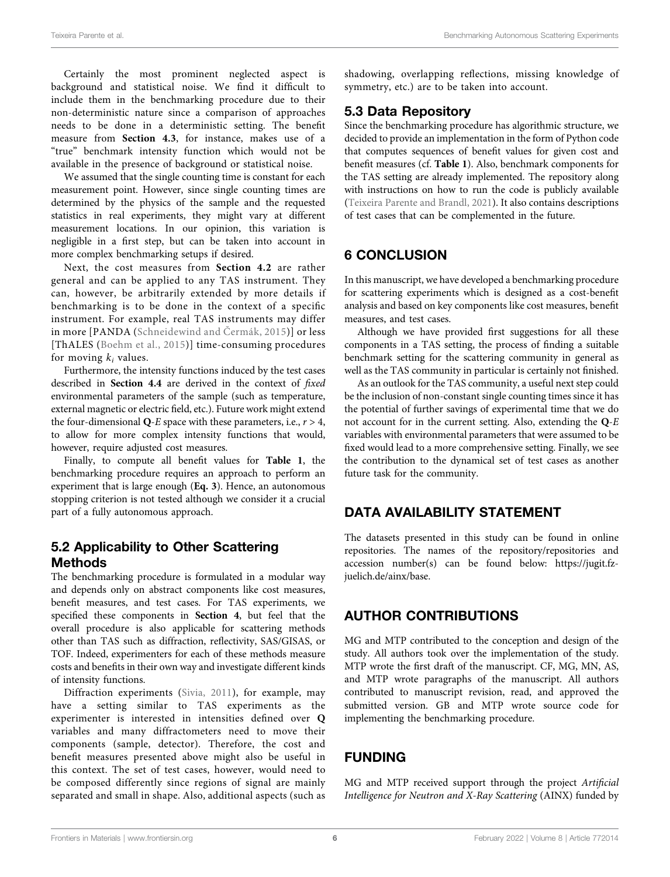Certainly the most prominent neglected aspect is background and statistical noise. We find it difficult to include them in the benchmarking procedure due to their non-deterministic nature since a comparison of approaches needs to be done in a deterministic setting. The benefit measure from **Section 4.3**, for instance, makes use of a measure from [Section 4.3](#page-4-2), for instance, makes use of a "true" benchmark intensity function which would not be available in the presence of background or statistical noise.

We assumed that the single counting time is constant for each measurement point. However, since single counting times are determined by the physics of the sample and the requested statistics in real experiments, they might vary at different measurement locations. In our opinion, this variation is negligible in a first step, but can be taken into account in more complex benchmarking setups if desired.

Next, the cost measures from [Section 4.2](#page-3-4) are rather general and can be applied to any TAS instrument. They can, however, be arbitrarily extended by more details if benchmarking is to be done in the context of a specific instrument. For example, real TAS instruments may differ in more [PANDA ([Schneidewind and](#page-6-17) Čermák, 2015)] or less [ThALES [\(Boehm et al., 2015\)](#page-6-18)] time-consuming procedures for moving  $k_i$  values.

Furthermore, the intensity functions induced by the test cases described in [Section 4.4](#page-4-1) are derived in the context of fixed environmental parameters of the sample (such as temperature, external magnetic or electric field, etc.). Future work might extend the four-dimensional Q-E space with these parameters, i.e.,  $r > 4$ , to allow for more complex intensity functions that would, however, require adjusted cost measures.

Finally, to compute all benefit values for [Table 1](#page-1-2), the benchmarking procedure requires an approach to perform an experiment that is large enough ([Eq. 3](#page-2-4)). Hence, an autonomous stopping criterion is not tested although we consider it a crucial part of a fully autonomous approach.

# 5.2 Applicability to Other Scattering Methods

The benchmarking procedure is formulated in a modular way and depends only on abstract components like cost measures, benefit measures, and test cases. For TAS experiments, we specified these components in [Section 4](#page-2-0), but feel that the overall procedure is also applicable for scattering methods other than TAS such as diffraction, reflectivity, SAS/GISAS, or TOF. Indeed, experimenters for each of these methods measure costs and benefits in their own way and investigate different kinds of intensity functions.

Diffraction experiments ([Sivia, 2011](#page-6-19)), for example, may have a setting similar to TAS experiments as the experimenter is interested in intensities defined over Q variables and many diffractometers need to move their components (sample, detector). Therefore, the cost and benefit measures presented above might also be useful in this context. The set of test cases, however, would need to be composed differently since regions of signal are mainly separated and small in shape. Also, additional aspects (such as

shadowing, overlapping reflections, missing knowledge of symmetry, etc.) are to be taken into account.

## 5.3 Data Repository

Since the benchmarking procedure has algorithmic structure, we decided to provide an implementation in the form of Python code that computes sequences of benefit values for given cost and benefit measures (cf. [Table 1](#page-1-2)). Also, benchmark components for the TAS setting are already implemented. The repository along with instructions on how to run the code is publicly available [\(Teixeira Parente and Brandl, 2021\)](#page-6-20). It also contains descriptions of test cases that can be complemented in the future.

# <span id="page-5-0"></span>6 CONCLUSION

In this manuscript, we have developed a benchmarking procedure for scattering experiments which is designed as a cost-benefit analysis and based on key components like cost measures, benefit measures, and test cases.

Although we have provided first suggestions for all these components in a TAS setting, the process of finding a suitable benchmark setting for the scattering community in general as well as the TAS community in particular is certainly not finished.

As an outlook for the TAS community, a useful next step could be the inclusion of non-constant single counting times since it has the potential of further savings of experimental time that we do not account for in the current setting. Also, extending the Q-<sup>E</sup> variables with environmental parameters that were assumed to be fixed would lead to a more comprehensive setting. Finally, we see the contribution to the dynamical set of test cases as another future task for the community.

# DATA AVAILABILITY STATEMENT

The datasets presented in this study can be found in online repositories. The names of the repository/repositories and accession number(s) can be found below: [https://jugit.fz](https://jugit.fz-juelich.de/ainx/base)[juelich.de/ainx/base.](https://jugit.fz-juelich.de/ainx/base)

# AUTHOR CONTRIBUTIONS

MG and MTP contributed to the conception and design of the study. All authors took over the implementation of the study. MTP wrote the first draft of the manuscript. CF, MG, MN, AS, and MTP wrote paragraphs of the manuscript. All authors contributed to manuscript revision, read, and approved the submitted version. GB and MTP wrote source code for implementing the benchmarking procedure.

# FUNDING

MG and MTP received support through the project Artificial Intelligence for Neutron and X-Ray Scattering (AINX) funded by